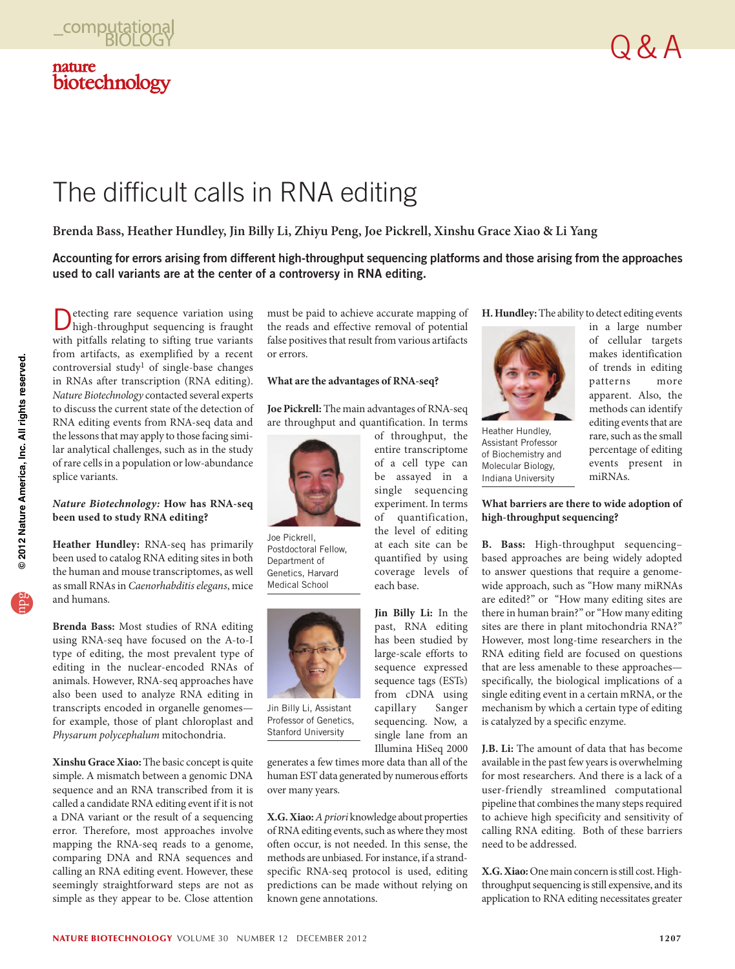# The difficult calls in RNA editing

**Brenda Bass, Heather Hundley, Jin Billy Li, Zhiyu Peng, Joe Pickrell, Xinshu Grace Xiao & Li Yang**

Accounting for errors arising from different high-throughput sequencing platforms and those arising from the approaches used to call variants are at the center of a controversy in RNA editing.

Detecting rare sequence variation using high-throughput sequencing is fraught with pitfalls relating to sifting true variants from artifacts, as exemplified by a recent controversial study<sup>1</sup> of single-base changes in RNAs after transcription (RNA editing). *Nature Biotechnology* contacted several experts to discuss the current state of the detection of RNA editing events from RNA-seq data and the lessons that may apply to those facing similar analytical challenges, such as in the study of rare cells in a population or low-abundance splice variants.

# *Nature Biotechnology:* **How has RNA-seq been used to study RNA editing?**

**Heather Hundley:** RNA-seq has primarily been used to catalog RNA editing sites in both the human and mouse transcriptomes, as well as small RNAs in *Caenorhabditis elegans*, mice and humans.

**Brenda Bass:** Most studies of RNA editing using RNA-seq have focused on the A-to-I type of editing, the most prevalent type of editing in the nuclear-encoded RNAs of animals. However, RNA-seq approaches have also been used to analyze RNA editing in transcripts encoded in organelle genomes for example, those of plant chloroplast and *Physarum polycephalum* mitochondria.

**Xinshu Grace Xiao:** The basic concept is quite simple. A mismatch between a genomic DNA sequence and an RNA transcribed from it is called a candidate RNA editing event if it is not a DNA variant or the result of a sequencing error. Therefore, most approaches involve mapping the RNA-seq reads to a genome, comparing DNA and RNA sequences and calling an RNA editing event. However, these seemingly straightforward steps are not as simple as they appear to be. Close attention

must be paid to achieve accurate mapping of the reads and effective removal of potential false positives that result from various artifacts or errors.

## **What are the advantages of RNA-seq?**

**Joe Pickrell:** The main advantages of RNA-seq are throughput and quantification. In terms of throughput, the

> entire transcriptome of a cell type can be assayed in a single sequencing experiment. In terms of quantification, the level of editing at each site can be quantified by using coverage levels of

each base.

**Jin Billy Li:** In the past, RNA editing has been studied by large-scale efforts to sequence expressed sequence tags (ESTs) from cDNA using capillary Sanger sequencing. Now, a single lane from an Illumina HiSeq 2000



Joe Pickrell, Postdoctoral Fellow, Department of Genetics, Harvard Medical School



Jin Billy Li, Assistant Professor of Genetics, Stanford University

generates a few times more data than all of the human EST data generated by numerous efforts over many years.

**X.G. Xiao:***A priori* knowledge about properties of RNA editing events, such as where they most often occur, is not needed. In this sense, the methods are unbiased. For instance, if a strandspecific RNA-seq protocol is used, editing predictions can be made without relying on known gene annotations.

**H. Hundley:** The ability to detect editing events



Heather Hundley, Assistant Professor of Biochemistry and Molecular Biology, Indiana University

in a large number of cellular targets makes identification of trends in editing patterns more apparent. Also, the methods can identify editing events that are rare, such as the small percentage of editing

events present in

miRNAs.

# **What barriers are there to wide adoption of high-throughput sequencing?**

**B. Bass:** High-throughput sequencing– based approaches are being widely adopted to answer questions that require a genomewide approach, such as "How many miRNAs are edited?" or "How many editing sites are there in human brain?" or "How many editing sites are there in plant mitochondria RNA?" However, most long-time researchers in the RNA editing field are focused on questions that are less amenable to these approaches specifically, the biological implications of a single editing event in a certain mRNA, or the mechanism by which a certain type of editing is catalyzed by a specific enzyme.

**J.B. Li:** The amount of data that has become available in the past few years is overwhelming for most researchers. And there is a lack of a user-friendly streamlined computational pipeline that combines the many steps required to achieve high specificity and sensitivity of calling RNA editing. Both of these barriers need to be addressed.

**X.G. Xiao:** One main concern is still cost. Highthroughput sequencing is still expensive, and its application to RNA editing necessitates greater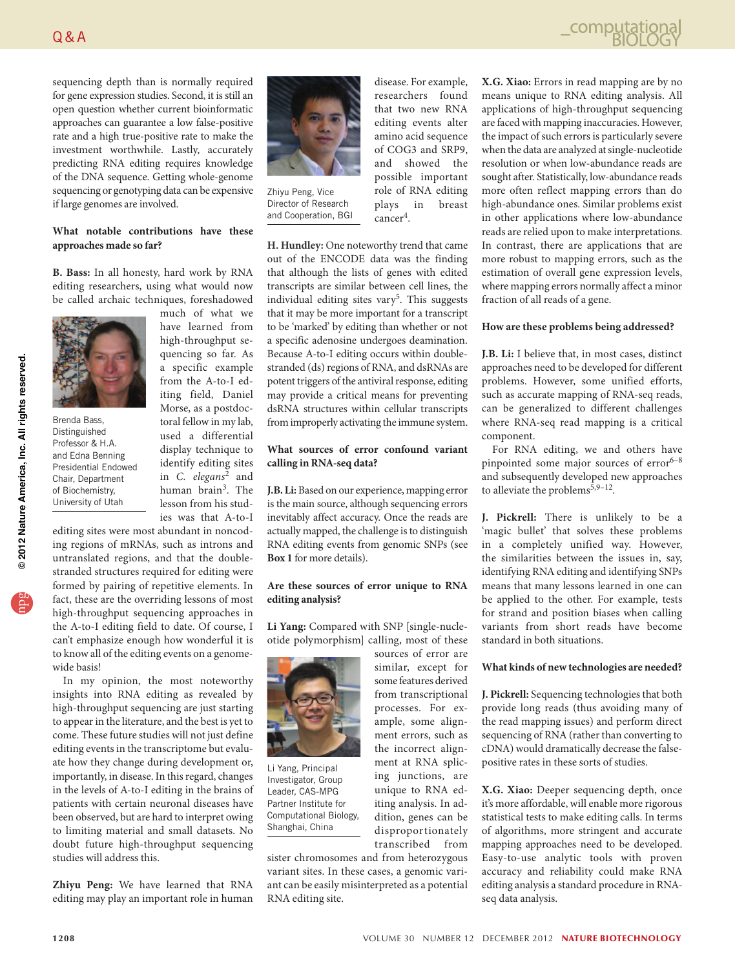sequencing depth than is normally required for gene expression studies. Second, it is still an open question whether current bioinformatic approaches can guarantee a low false-positive rate and a high true-positive rate to make the investment worthwhile. Lastly, accurately predicting RNA editing requires knowledge of the DNA sequence. Getting whole-genome sequencing or genotyping data can be expensive if large genomes are involved.

# **What notable contributions have these approaches made so far?**

**B. Bass:** In all honesty, hard work by RNA editing researchers, using what would now be called archaic techniques, foreshadowed



Brenda Bass, Distinguished Professor & H.A. and Edna Benning Presidential Endowed Chair, Department of Biochemistry, University of Utah

have learned from high-throughput sequencing so far. As a specific example from the A-to-I editing field, Daniel Morse, as a postdoctoral fellow in my lab, used a differential display technique to identify editing sites in *C. elegans*2 and human brain<sup>3</sup>. The lesson from his studies was that A-to-I

much of what we

editing sites were most abundant in noncoding regions of mRNAs, such as introns and untranslated regions, and that the doublestranded structures required for editing were formed by pairing of repetitive elements. In fact, these are the overriding lessons of most high-throughput sequencing approaches in the A-to-I editing field to date. Of course, I can't emphasize enough how wonderful it is to know all of the editing events on a genomewide basis!

In my opinion, the most noteworthy insights into RNA editing as revealed by high-throughput sequencing are just starting to appear in the literature, and the best is yet to come. These future studies will not just define editing events in the transcriptome but evaluate how they change during development or, importantly, in disease. In this regard, changes in the levels of A-to-I editing in the brains of patients with certain neuronal diseases have been observed, but are hard to interpret owing to limiting material and small datasets. No doubt future high-throughput sequencing studies will address this.

**Zhiyu Peng:** We have learned that RNA editing may play an important role in human



Zhiyu Peng, Vice Director of Research and Cooperation, BGI

**H. Hundley:** One noteworthy trend that came out of the ENCODE data was the finding that although the lists of genes with edited transcripts are similar between cell lines, the individual editing sites vary<sup>5</sup>. This suggests that it may be more important for a transcript to be 'marked' by editing than whether or not a specific adenosine undergoes deamination. Because A-to-I editing occurs within doublestranded (ds) regions of RNA, and dsRNAs are potent triggers of the antiviral response, editing may provide a critical means for preventing dsRNA structures within cellular transcripts from improperly activating the immune system.

cancer<sup>4</sup>.

## **What sources of error confound variant calling in RNA-seq data?**

**J.B. Li:** Based on our experience, mapping error is the main source, although sequencing errors inevitably affect accuracy. Once the reads are actually mapped, the challenge is to distinguish RNA editing events from genomic SNPs (see **Box 1** for more details).

## **Are these sources of error unique to RNA editing analysis?**

**Li Yang:** Compared with SNP [single-nucleotide polymorphism] calling, most of these sources of error are

> similar, except for some features derived from transcriptional processes. For example, some alignment errors, such as the incorrect alignment at RNA splicing junctions, are unique to RNA editing analysis. In addition, genes can be disproportionately transcribed from



Li Yang, Principal Investigator, Group Leader, CAS-MPG Partner Institute for Computational Biology, Shanghai, China

sister chromosomes and from heterozygous variant sites. In these cases, a genomic variant can be easily misinterpreted as a potential RNA editing site.

disease. For example, researchers found that two new RNA editing events alter amino acid sequence of COG3 and SRP9, and showed the possible important role of RNA editing plays in breast **X.G. Xiao:** Errors in read mapping are by no means unique to RNA editing analysis. All applications of high-throughput sequencing are faced with mapping inaccuracies. However, the impact of such errors is particularly severe when the data are analyzed at single-nucleotide resolution or when low-abundance reads are sought after. Statistically, low-abundance reads more often reflect mapping errors than do high-abundance ones. Similar problems exist in other applications where low-abundance reads are relied upon to make interpretations. In contrast, there are applications that are more robust to mapping errors, such as the estimation of overall gene expression levels, where mapping errors normally affect a minor

#### **How are these problems being addressed?**

fraction of all reads of a gene.

**J.B. Li:** I believe that, in most cases, distinct approaches need to be developed for different problems. However, some unified efforts, such as accurate mapping of RNA-seq reads, can be generalized to different challenges where RNA-seq read mapping is a critical component.

For RNA editing, we and others have pinpointed some major sources of error<sup>6-8</sup> and subsequently developed new approaches to alleviate the problems<sup>5,9-12</sup>.

**J. Pickrell:** There is unlikely to be a 'magic bullet' that solves these problems in a completely unified way. However, the similarities between the issues in, say, identifying RNA editing and identifying SNPs means that many lessons learned in one can be applied to the other. For example, tests for strand and position biases when calling variants from short reads have become standard in both situations.

## **What kinds of new technologies are needed?**

**J. Pickrell:** Sequencing technologies that both provide long reads (thus avoiding many of the read mapping issues) and perform direct sequencing of RNA (rather than converting to cDNA) would dramatically decrease the falsepositive rates in these sorts of studies.

**X.G. Xiao:** Deeper sequencing depth, once it's more affordable, will enable more rigorous statistical tests to make editing calls. In terms of algorithms, more stringent and accurate mapping approaches need to be developed. Easy-to-use analytic tools with proven accuracy and reliability could make RNA editing analysis a standard procedure in RNAseq data analysis.